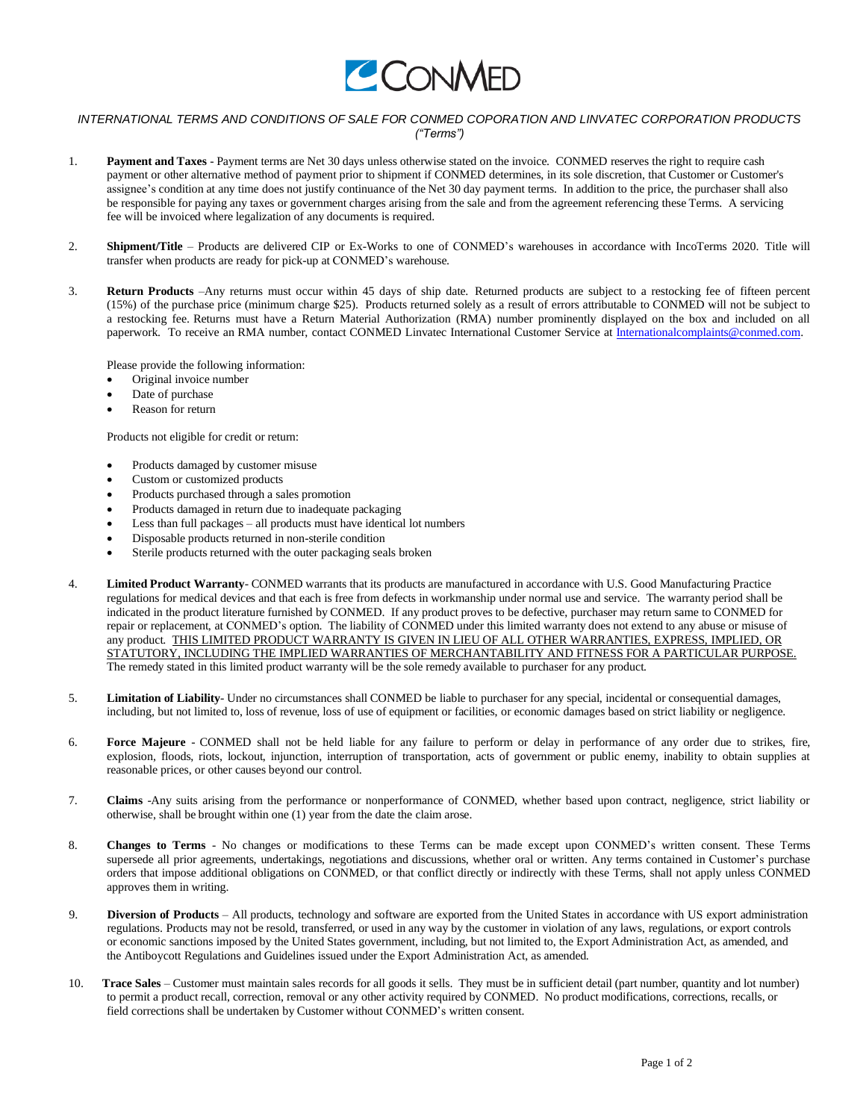

## *INTERNATIONAL TERMS AND CONDITIONS OF SALE FOR CONMED COPORATION AND LINVATEC CORPORATION PRODUCTS ("Terms")*

- 1. **Payment and Taxes** Payment terms are Net 30 days unless otherwise stated on the invoice. CONMED reserves the right to require cash payment or other alternative method of payment prior to shipment if CONMED determines, in its sole discretion, that Customer or Customer's assignee's condition at any time does not justify continuance of the Net 30 day payment terms. In addition to the price, the purchaser shall also be responsible for paying any taxes or government charges arising from the sale and from the agreement referencing these Terms. A servicing fee will be invoiced where legalization of any documents is required.
- 2. **Shipment/Title** Products are delivered CIP or Ex-Works to one of CONMED's warehouses in accordance with IncoTerms 2020. Title will transfer when products are ready for pick-up at CONMED's warehouse.
- 3. **Return Products** –Any returns must occur within 45 days of ship date. Returned products are subject to a restocking fee of fifteen percent (15%) of the purchase price (minimum charge \$25). Products returned solely as a result of errors attributable to CONMED will not be subject to a restocking fee. Returns must have a Return Material Authorization (RMA) number prominently displayed on the box and included on all paperwork. To receive an RMA number, contact CONMED Linvatec International Customer Service at [Internationalcomplaints@conmed.com.](mailto:Internationalcomplaints@conmed.com)

Please provide the following information:

- Original invoice number
- Date of purchase
- Reason for return

Products not eligible for credit or return:

- Products damaged by customer misuse
- Custom or customized products
- Products purchased through a sales promotion
- Products damaged in return due to inadequate packaging
- Less than full packages all products must have identical lot numbers
- Disposable products returned in non-sterile condition
- Sterile products returned with the outer packaging seals broken
- 4. **Limited Product Warranty** CONMED warrants that its products are manufactured in accordance with U.S. Good Manufacturing Practice regulations for medical devices and that each is free from defects in workmanship under normal use and service. The warranty period shall be indicated in the product literature furnished by CONMED. If any product proves to be defective, purchaser may return same to CONMED for repair or replacement, at CONMED's option. The liability of CONMED under this limited warranty does not extend to any abuse or misuse of any product. THIS LIMITED PRODUCT WARRANTY IS GIVEN IN LIEU OF ALL OTHER WARRANTIES, EXPRESS, IMPLIED, OR STATUTORY, INCLUDING THE IMPLIED WARRANTIES OF MERCHANTABILITY AND FITNESS FOR A PARTICULAR PURPOSE. The remedy stated in this limited product warranty will be the sole remedy available to purchaser for any product.
- 5. **Limitation of Liability** Under no circumstances shall CONMED be liable to purchaser for any special, incidental or consequential damages, including, but not limited to, loss of revenue, loss of use of equipment or facilities, or economic damages based on strict liability or negligence.
- 6. **Force Majeure** CONMED shall not be held liable for any failure to perform or delay in performance of any order due to strikes, fire, explosion, floods, riots, lockout, injunction, interruption of transportation, acts of government or public enemy, inability to obtain supplies at reasonable prices, or other causes beyond our control.
- 7. **Claims** -Any suits arising from the performance or nonperformance of CONMED, whether based upon contract, negligence, strict liability or otherwise, shall be brought within one (1) year from the date the claim arose.
- 8. **Changes to Terms** No changes or modifications to these Terms can be made except upon CONMED's written consent. These Terms supersede all prior agreements, undertakings, negotiations and discussions, whether oral or written. Any terms contained in Customer's purchase orders that impose additional obligations on CONMED, or that conflict directly or indirectly with these Terms, shall not apply unless CONMED approves them in writing.
- 9. **Diversion of Products**  All products, technology and software are exported from the United States in accordance with US export administration regulations. Products may not be resold, transferred, or used in any way by the customer in violation of any laws, regulations, or export controls or economic sanctions imposed by the United States government, including, but not limited to, the Export Administration Act, as amended, and the Antiboycott Regulations and Guidelines issued under the Export Administration Act, as amended.
- 10. **Trace Sales**  Customer must maintain sales records for all goods it sells. They must be in sufficient detail (part number, quantity and lot number) to permit a product recall, correction, removal or any other activity required by CONMED. No product modifications, corrections, recalls, or field corrections shall be undertaken by Customer without CONMED's written consent.